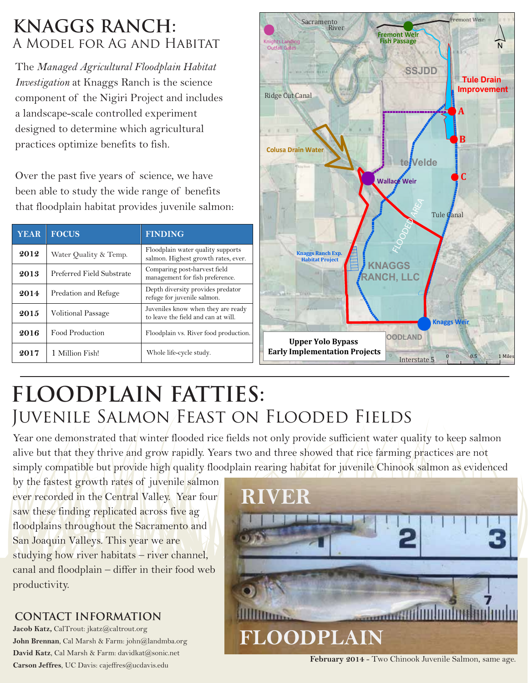### **KNAGGS RANCH:** A Model for Ag and Habitat

The *Managed Agricultural Floodplain Habitat Investigation* at Knaggs Ranch is the science component of the Nigiri Project and includes a landscape-scale controlled experiment designed to determine which agricultural practices optimize benefits to fish.

Over the past five years of science, we have been able to study the wide range of benefits that floodplain habitat provides juvenile salmon:

| <b>YEAR</b> | <b>FOCUS</b>              | <b>FINDING</b>                                                            |
|-------------|---------------------------|---------------------------------------------------------------------------|
| 2012        | Water Quality & Temp.     | Floodplain water quality supports<br>salmon. Highest growth rates, ever.  |
| 2013        | Preferred Field Substrate | Comparing post-harvest field<br>management for fish preference.           |
| 2014        | Predation and Refuge      | Depth diversity provides predator<br>refuge for juvenile salmon.          |
| 2015        | <b>Volitional Passage</b> | Juveniles know when they are ready<br>to leave the field and can at will. |
| 2016        | Food Production           | Floodplain vs. River food production.                                     |
| 2017        | 1 Million Fish!           | Whole life-cycle study.                                                   |



# **FLOODPLAIN FATTIES:**  JUVENILE SALMON/FEAST ON FLOODED FIELDS

Year one demonstrated that winter flooded rice fields not only provide sufficient water quality to keep salmon alive but that they thrive and grow rapidly. Years two and three showed that rice farming practices are not simply compatible but provide high quality floodplain rearing habitat for juvenile Chinook salmon as evidenced

by the fastest growth rates of juvenile salmon ever recorded in the Central Valley. Year four saw these finding replicated across five ag floodplains throughout the Sacramento and San Joaquin Valleys. This year we are studying how river habitats – river channel, canal and floodplain – differ in their food web productivity.

#### **CONTACT INFORMATION**

**Jacob Katz,** CalTrout: jkatz@caltrout.org **John Brennan**, Cal Marsh & Farm: john@landmba.org David Katz, Cal Marsh & Farm: davidkat@sonic.net **Carson Jeffres**, UC Davis: cajeffres@ucdavis.edu



**February 2014** - Two Chinook Juvenile Salmon, same age.